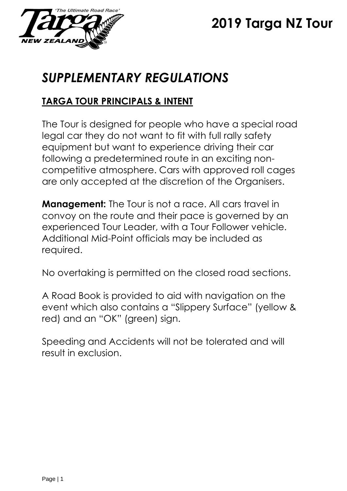

# **2019 Targa NZ Tour**

# *SUPPLEMENTARY REGULATIONS*

# **TARGA TOUR PRINCIPALS & INTENT**

The Tour is designed for people who have a special road legal car they do not want to fit with full rally safety equipment but want to experience driving their car following a predetermined route in an exciting noncompetitive atmosphere. Cars with approved roll cages are only accepted at the discretion of the Organisers.

**Management:** The Tour is not a race. All cars travel in convoy on the route and their pace is governed by an experienced Tour Leader, with a Tour Follower vehicle. Additional Mid-Point officials may be included as required.

No overtaking is permitted on the closed road sections.

A Road Book is provided to aid with navigation on the event which also contains a "Slippery Surface" (yellow & red) and an "OK" (green) sign.

Speeding and Accidents will not be tolerated and will result in exclusion.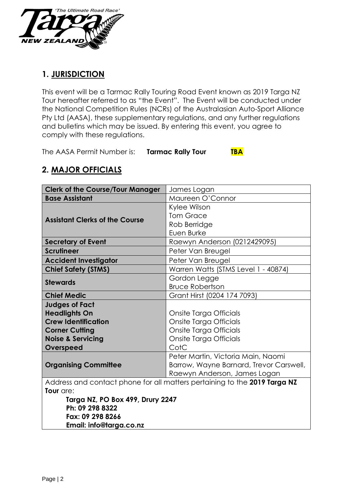

## **1. JURISDICTION**

This event will be a Tarmac Rally Touring Road Event known as 2019 Targa NZ Tour hereafter referred to as "the Event". The Event will be conducted under the National Competition Rules (NCRs) of the Australasian Auto-Sport Alliance Pty Ltd (AASA), these supplementary regulations, and any further regulations and bulletins which may be issued. By entering this event, you agree to comply with these regulations.

The AASA Permit Number is: **Tarmac Rally Tour TBA**

| <b>Clerk of the Course/Tour Manager</b>                                   | James Logan                             |  |  |
|---------------------------------------------------------------------------|-----------------------------------------|--|--|
| <b>Base Assistant</b>                                                     | Maureen O'Connor                        |  |  |
|                                                                           | Kylee Wilson                            |  |  |
| <b>Assistant Clerks of the Course</b>                                     | <b>Tom Grace</b>                        |  |  |
|                                                                           | Rob Berridge                            |  |  |
|                                                                           | Euen Burke                              |  |  |
| <b>Secretary of Event</b>                                                 | Raewyn Anderson (0212429095)            |  |  |
| <b>Scrutineer</b>                                                         | Peter Van Breugel                       |  |  |
| <b>Accident Investigator</b>                                              | Peter Van Breugel                       |  |  |
| <b>Chief Safety (STMS)</b>                                                | Warren Watts (STMS Level 1 - 40874)     |  |  |
| <b>Stewards</b>                                                           | Gordon Legge                            |  |  |
|                                                                           | <b>Bruce Robertson</b>                  |  |  |
| <b>Chief Medic</b>                                                        | Grant Hirst (0204 174 7093)             |  |  |
| <b>Judges of Fact</b>                                                     |                                         |  |  |
| <b>Headlights On</b>                                                      | Onsite Targa Officials                  |  |  |
| <b>Crew Identification</b>                                                | Onsite Targa Officials                  |  |  |
| <b>Corner Cutting</b>                                                     | Onsite Targa Officials                  |  |  |
| <b>Noise &amp; Servicing</b>                                              | Onsite Targa Officials                  |  |  |
| Overspeed                                                                 | CotC                                    |  |  |
|                                                                           | Peter Martin, Victoria Main, Naomi      |  |  |
| <b>Organising Committee</b>                                               | Barrow, Wayne Barnard, Trevor Carswell, |  |  |
|                                                                           | Raewyn Anderson, James Logan            |  |  |
| Address and contact phone for all matters pertaining to the 2019 Targa NZ |                                         |  |  |
| Tour are:                                                                 |                                         |  |  |
| Targa NZ, PO Box 499, Drury 2247<br>Ph: 09 298 8322                       |                                         |  |  |
| Fax: 09 298 8266                                                          |                                         |  |  |
| Email: info@targa.co.nz                                                   |                                         |  |  |
|                                                                           |                                         |  |  |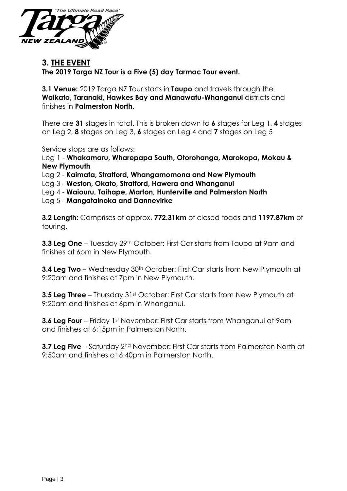

## **3. THE EVENT**

**The 2019 Targa NZ Tour is a Five (5) day Tarmac Tour event.**

**3.1 Venue:** 2019 Targa NZ Tour starts in **Taupo** and travels through the **Waikato, Taranaki, Hawkes Bay and Manawatu-Whanganui** districts and finishes in **Palmerston North**.

There are **31** stages in total. This is broken down to **6** stages for Leg 1, **4** stages on Leg 2, **8** stages on Leg 3, **6** stages on Leg 4 and **7** stages on Leg 5

Service stops are as follows:

Leg 1 - **Whakamaru, Wharepapa South, Otorohanga, Marokopa, Mokau & New Plymouth** 

Leg 2 - **Kaimata, Stratford, Whangamomona and New Plymouth** 

Leg 3 - **Weston, Okato, Stratford, Hawera and Whanganui** 

Leg 4 - **Waiouru, Taihape, Marton, Hunterville and Palmerston North** 

Leg 5 - **Mangatainoka and Dannevirke**

**3.2 Length:** Comprises of approx. **772.31km** of closed roads and **1197.87km** of touring.

**3.3 Leg One** – Tuesday 29<sup>th</sup> October: First Car starts from Taupo at 9am and finishes at 6pm in New Plymouth.

**3.4 Leg Two** – Wednesday 30<sup>th</sup> October: First Car starts from New Plymouth at 9:20am and finishes at 7pm in New Plymouth.

**3.5 Leg Three** – Thursday 31st October: First Car starts from New Plymouth at 9:20am and finishes at 6pm in Whanganui.

**3.6 Leg Four** – Friday 1st November: First Car starts from Whanganui at 9am and finishes at 6:15pm in Palmerston North.

**3.7 Leg Five** – Saturday 2<sup>nd</sup> November: First Car starts from Palmerston North at 9:50am and finishes at 6:40pm in Palmerston North.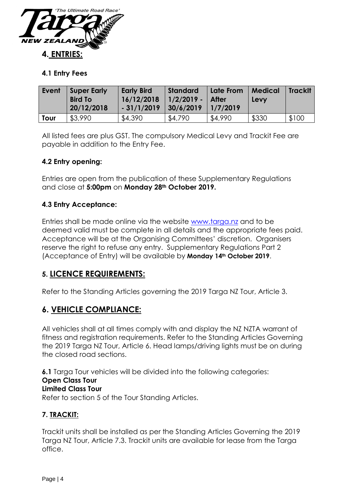

### **4.1 Entry Fees**

| Event | Super Early<br><b>Bird To</b><br>20/12/2018 | <b>Early Bird</b><br>16/12/2018<br>$-31/1/2019$ | Standard<br>$1/2/2019 -  $ After<br>$30/6/2019$   1/7/2019 | Late From | Medical<br>Levy | <b>TrackIt</b> |
|-------|---------------------------------------------|-------------------------------------------------|------------------------------------------------------------|-----------|-----------------|----------------|
| Tour  | \$3,990                                     | \$4,390                                         | \$4,790                                                    | \$4,990   | \$330           | \$100          |

All listed fees are plus GST. The compulsory Medical Levy and Trackit Fee are payable in addition to the Entry Fee.

## **4.2 Entry opening:**

Entries are open from the publication of these Supplementary Regulations and close at **5:00pm** on **Monday 28th October 2019.**

## **4.3 Entry Acceptance:**

Entries shall be made online via the website [www.targa.nz](http://www.targa.co.nz/) and to be deemed valid must be complete in all details and the appropriate fees paid. Acceptance will be at the Organising Committees' discretion. Organisers reserve the right to refuse any entry. Supplementary Regulations Part 2 (Acceptance of Entry) will be available by **Monday 14th October 2019**.

## **5. LICENCE REQUIREMENTS:**

Refer to the Standing Articles governing the 2019 Targa NZ Tour, Article 3.

## **6. VEHICLE COMPLIANCE:**

All vehicles shall at all times comply with and display the NZ NZTA warrant of fitness and registration requirements. Refer to the Standing Articles Governing the 2019 Targa NZ Tour, Article 6. Head lamps/driving lights must be on during the closed road sections.

**6.1** Targa Tour vehicles will be divided into the following categories: **Open Class Tour Limited Class Tour** Refer to section 5 of the Tour Standing Articles.

#### **7. TRACKIT:**

Trackit units shall be installed as per the Standing Articles Governing the 2019 Targa NZ Tour, Article 7.3. Trackit units are available for lease from the Targa office.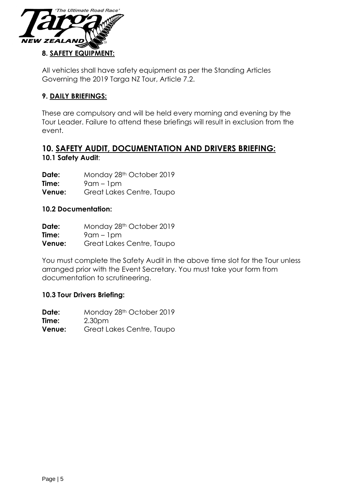

All vehicles shall have safety equipment as per the Standing Articles Governing the 2019 Targa NZ Tour, Article 7.2.

## **9. DAILY BRIEFINGS:**

These are compulsory and will be held every morning and evening by the Tour Leader. Failure to attend these briefings will result in exclusion from the event.

## **10. SAFETY AUDIT, DOCUMENTATION AND DRIVERS BRIEFING: 10.1 Safety Audit**:

**Date:** Monday 28<sup>th</sup> October 2019 **Time:** 9am – 1pm **Venue:** Great Lakes Centre, Taupo

#### **10.2 Documentation:**

| Date:         | Monday 28th October 2019  |
|---------------|---------------------------|
| Time:         | $9$ am – $1$ pm           |
| <b>Venue:</b> | Great Lakes Centre, Taupo |

You must complete the Safety Audit in the above time slot for the Tour unless arranged prior with the Event Secretary. You must take your form from documentation to scrutineering.

#### **10.3 Tour Drivers Briefing:**

Date: Monday 28<sup>th</sup> October 2019 **Time:** 2.30pm **Venue:** Great Lakes Centre, Taupo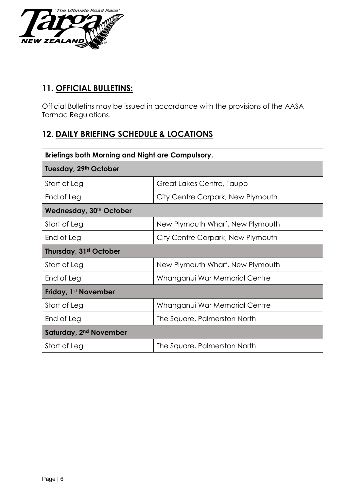

# **11. OFFICIAL BULLETINS:**

Official Bulletins may be issued in accordance with the provisions of the AASA Tarmac Regulations.

# **12. DAILY BRIEFING SCHEDULE & LOCATIONS**

| Briefings both Morning and Night are Compulsory. |                                   |  |  |  |  |
|--------------------------------------------------|-----------------------------------|--|--|--|--|
| Tuesday, 29th October                            |                                   |  |  |  |  |
| Start of Leg                                     | Great Lakes Centre, Taupo         |  |  |  |  |
| End of Leg                                       | City Centre Carpark, New Plymouth |  |  |  |  |
| Wednesday, 30th October                          |                                   |  |  |  |  |
| Start of Leg                                     | New Plymouth Wharf, New Plymouth  |  |  |  |  |
| End of Leg                                       | City Centre Carpark, New Plymouth |  |  |  |  |
| Thursday, 31st October                           |                                   |  |  |  |  |
| Start of Leg                                     | New Plymouth Wharf, New Plymouth  |  |  |  |  |
| End of Leg                                       | Whanganui War Memorial Centre     |  |  |  |  |
| Friday, 1 <sup>st</sup> November                 |                                   |  |  |  |  |
| Start of Leg                                     | Whanganui War Memorial Centre     |  |  |  |  |
| End of Leg                                       | The Square, Palmerston North      |  |  |  |  |
| Saturday, 2 <sup>nd</sup> November               |                                   |  |  |  |  |
| Start of Leg                                     | The Square, Palmerston North      |  |  |  |  |